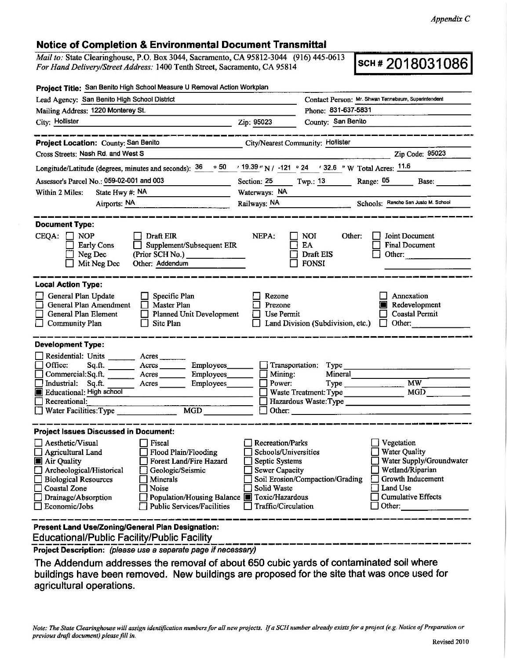## **Notice of Completion** & **Environmental Document Transmittal**

*Mail to:* State Clearinghouse, P.O. Box 3044, Sacramento, CA 95812-3044 (916) 445-0613 *Mail to: State Clearinghouse, P.O. Box 3044, Sacramento, CA 95812-3044* (916) 445-0613<br>*For Hand Delivery/Street Address: 1400 Tenth Street, Sacramento, CA 95814* **SCH # 2018031086** 

| Project Title: San Benito High School Measure U Removal Action Workplan                                                                                                                                                                                                                                                                                                                 |                                                                                                                                  |                                                                                                                                                                                               |
|-----------------------------------------------------------------------------------------------------------------------------------------------------------------------------------------------------------------------------------------------------------------------------------------------------------------------------------------------------------------------------------------|----------------------------------------------------------------------------------------------------------------------------------|-----------------------------------------------------------------------------------------------------------------------------------------------------------------------------------------------|
| Lead Agency: San Benito High School District                                                                                                                                                                                                                                                                                                                                            |                                                                                                                                  | Contact Person: Mr. Shwan Tennebaum, Superintendent                                                                                                                                           |
| Mailing Address: 1220 Monterey St.                                                                                                                                                                                                                                                                                                                                                      |                                                                                                                                  | Phone: 831-637-5831                                                                                                                                                                           |
| City: Hollister                                                                                                                                                                                                                                                                                                                                                                         | Zip: 95023                                                                                                                       | County: San Benito                                                                                                                                                                            |
|                                                                                                                                                                                                                                                                                                                                                                                         |                                                                                                                                  |                                                                                                                                                                                               |
| Project Location: County: San Benito                                                                                                                                                                                                                                                                                                                                                    |                                                                                                                                  | City/Nearest Community: Hollister                                                                                                                                                             |
| Cross Streets; Nash Rd. and West S                                                                                                                                                                                                                                                                                                                                                      |                                                                                                                                  | Zip Code: 95023                                                                                                                                                                               |
| Longitude/Latitude (degrees, minutes and seconds): 36                                                                                                                                                                                                                                                                                                                                   |                                                                                                                                  | $\cdot$ 50 $\cdot$ 19.39 " N / -121 $\cdot$ 24 $\cdot$ 32.6 " W Total Acres: $\frac{11.6}{2}$                                                                                                 |
| Assessor's Parcel No.: 059-02-001 and 003                                                                                                                                                                                                                                                                                                                                               |                                                                                                                                  | Section: 25 Twp.: 13 Range: 05<br>Base:                                                                                                                                                       |
| State Hwy #: NA<br>Within 2 Miles:                                                                                                                                                                                                                                                                                                                                                      | Waterways: NA                                                                                                                    |                                                                                                                                                                                               |
| Airports: NA                                                                                                                                                                                                                                                                                                                                                                            |                                                                                                                                  | Railways: NA Schools: Rancho San Justo M. School                                                                                                                                              |
|                                                                                                                                                                                                                                                                                                                                                                                         |                                                                                                                                  |                                                                                                                                                                                               |
| <b>Document Type:</b><br>CEQA:<br><b>NOP</b><br>Draft EIR<br>$\Box$ Supplement/Subsequent EIR<br><b>Early Cons</b><br>Neg Dec<br>(Prior SCH No.) _______________<br>Mit Neg Dec<br>Other: Addendum                                                                                                                                                                                      | NEPA:                                                                                                                            | <b>NOI</b><br>Other:<br>Joint Document<br>EA<br><b>Final Document</b><br>Draft EIS<br>Other:<br><b>FONSI</b>                                                                                  |
| <b>Local Action Type:</b><br>General Plan Update<br>Specific Plan<br><b>General Plan Amendment</b><br>$\Box$<br>Master Plan<br>General Plan Element<br>Planned Unit Development<br>Community Plan<br>Site Plan<br>$\Box$                                                                                                                                                                | Rezone<br>Prezone<br>Use Permit                                                                                                  | Annexation<br>Redevelopment<br><b>Coastal Permit</b><br>Land Division (Subdivision, etc.)<br>Other:                                                                                           |
| <b>Development Type:</b><br>Residential: Units ________ Acres _______<br>Office:<br>Acres Employees<br>Sq.ft.<br>Commercial:Sq.ft. ________ Acres _________ Employees_<br>Industrial: Sq.ft.<br>Employees<br>$A$ cres<br>Educational: High school<br>Recreational:<br>MGD<br>Water Facilities: Type                                                                                     | Mining:<br>Power:                                                                                                                | Transportation: Type<br>Mineral<br>MW<br>$Type \_$<br><b>MGD</b><br>Waste Treatment: Type<br>Hazardous Waste:Type                                                                             |
| <b>Project Issues Discussed in Document:</b>                                                                                                                                                                                                                                                                                                                                            |                                                                                                                                  |                                                                                                                                                                                               |
| Aesthetic/Visual<br>Fiscal<br>Flood Plain/Flooding<br>$\Box$ Agricultural Land<br>Air Quality<br>Forest Land/Fire Hazard<br>Archeological/Historical<br>Geologic/Seismic<br><b>Biological Resources</b><br>Minerals<br>Noise<br><b>Coastal Zone</b><br>Population/Housing Balance F Toxic/Hazardous<br>Drainage/Absorption<br><b>Public Services/Facilities</b><br>$\Box$ Economic/Jobs | <b>Recreation/Parks</b><br>Schools/Universities<br>Septic Systems<br><b>Sewer Capacity</b><br>Solid Waste<br>Traffic/Circulation | Vegetation<br><b>Water Quality</b><br>Water Supply/Groundwater<br>Wetland/Riparian<br>Growth Inducement<br>Soil Erosion/Compaction/Grading<br>Land Use<br><b>Cumulative Effects</b><br>Other: |
| Present Land Use/Zoning/General Plan Designation:<br><b>Educational/Public Facility/Public Facility</b>                                                                                                                                                                                                                                                                                 |                                                                                                                                  |                                                                                                                                                                                               |
| Project Description: (please use a separate page if necessary)                                                                                                                                                                                                                                                                                                                          |                                                                                                                                  |                                                                                                                                                                                               |

The Addendum addresses the removal of about 650 cubic yards of contaminated soil where buildings have been removed. New buildings are proposed for the site that was once used for agricultural operations.